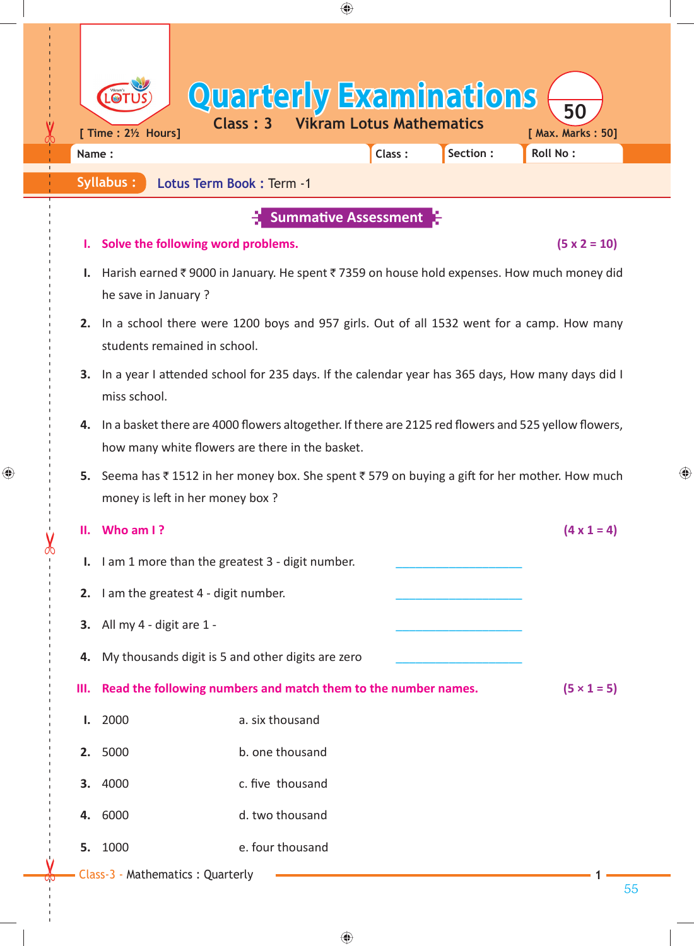| $\blacksquare$<br>[ Time : 21/2 Hours]<br>Name:<br><b>Syllabus:</b><br>he save in January?<br>students remained in school. | <b>Quarterly Examinations</b><br>Lotus Term Book: Term -1<br>Solve the following word problems. | <b>Class: 3 Vikram Lotus Mathematics</b><br><b>Summative Assessment</b>                             | Class:                                                                                                                                                                                        | Section:                                                                                                | 50<br>[ Max. Marks: 50]<br><b>Roll No:</b><br>$(5 \times 2 = 10)$<br>Harish earned ₹9000 in January. He spent ₹7359 on house hold expenses. How much money did                                                                                                          |
|----------------------------------------------------------------------------------------------------------------------------|-------------------------------------------------------------------------------------------------|-----------------------------------------------------------------------------------------------------|-----------------------------------------------------------------------------------------------------------------------------------------------------------------------------------------------|---------------------------------------------------------------------------------------------------------|-------------------------------------------------------------------------------------------------------------------------------------------------------------------------------------------------------------------------------------------------------------------------|
|                                                                                                                            |                                                                                                 |                                                                                                     |                                                                                                                                                                                               |                                                                                                         |                                                                                                                                                                                                                                                                         |
|                                                                                                                            |                                                                                                 |                                                                                                     |                                                                                                                                                                                               |                                                                                                         |                                                                                                                                                                                                                                                                         |
|                                                                                                                            |                                                                                                 |                                                                                                     |                                                                                                                                                                                               |                                                                                                         |                                                                                                                                                                                                                                                                         |
|                                                                                                                            |                                                                                                 |                                                                                                     |                                                                                                                                                                                               |                                                                                                         |                                                                                                                                                                                                                                                                         |
|                                                                                                                            |                                                                                                 |                                                                                                     |                                                                                                                                                                                               |                                                                                                         | 2. In a school there were 1200 boys and 957 girls. Out of all 1532 went for a camp. How many                                                                                                                                                                            |
| miss school.                                                                                                               |                                                                                                 |                                                                                                     |                                                                                                                                                                                               |                                                                                                         | 3. In a year I attended school for 235 days. If the calendar year has 365 days, How many days did I                                                                                                                                                                     |
|                                                                                                                            |                                                                                                 |                                                                                                     |                                                                                                                                                                                               |                                                                                                         |                                                                                                                                                                                                                                                                         |
|                                                                                                                            |                                                                                                 |                                                                                                     |                                                                                                                                                                                               |                                                                                                         |                                                                                                                                                                                                                                                                         |
| Who am I?                                                                                                                  |                                                                                                 |                                                                                                     |                                                                                                                                                                                               |                                                                                                         | $(4 \times 1 = 4)$                                                                                                                                                                                                                                                      |
|                                                                                                                            |                                                                                                 |                                                                                                     |                                                                                                                                                                                               |                                                                                                         |                                                                                                                                                                                                                                                                         |
|                                                                                                                            |                                                                                                 |                                                                                                     |                                                                                                                                                                                               |                                                                                                         |                                                                                                                                                                                                                                                                         |
|                                                                                                                            |                                                                                                 |                                                                                                     |                                                                                                                                                                                               |                                                                                                         |                                                                                                                                                                                                                                                                         |
|                                                                                                                            |                                                                                                 |                                                                                                     |                                                                                                                                                                                               |                                                                                                         |                                                                                                                                                                                                                                                                         |
|                                                                                                                            |                                                                                                 |                                                                                                     |                                                                                                                                                                                               |                                                                                                         | $(5 \times 1 = 5)$                                                                                                                                                                                                                                                      |
| 2000                                                                                                                       |                                                                                                 |                                                                                                     |                                                                                                                                                                                               |                                                                                                         |                                                                                                                                                                                                                                                                         |
| 2. 5000                                                                                                                    |                                                                                                 |                                                                                                     |                                                                                                                                                                                               |                                                                                                         |                                                                                                                                                                                                                                                                         |
| 4000                                                                                                                       |                                                                                                 |                                                                                                     |                                                                                                                                                                                               |                                                                                                         |                                                                                                                                                                                                                                                                         |
| 4. 6000                                                                                                                    |                                                                                                 |                                                                                                     |                                                                                                                                                                                               |                                                                                                         |                                                                                                                                                                                                                                                                         |
| 1000                                                                                                                       |                                                                                                 |                                                                                                     |                                                                                                                                                                                               |                                                                                                         |                                                                                                                                                                                                                                                                         |
|                                                                                                                            |                                                                                                 | money is left in her money box?<br>3. All my 4 - digit are 1 -<br>Class-3 - Mathematics : Quarterly | I. I am 1 more than the greatest 3 - digit number.<br>2. I am the greatest 4 - digit number.<br>a. six thousand<br>b. one thousand<br>c. five thousand<br>d. two thousand<br>e. four thousand | how many white flowers are there in the basket.<br>4. My thousands digit is 5 and other digits are zero | 4. In a basket there are 4000 flowers altogether. If there are 2125 red flowers and 525 yellow flowers,<br>Seema has ₹1512 in her money box. She spent ₹579 on buying a gift for her mother. How much<br>Read the following numbers and match them to the number names. |

 $\bigoplus$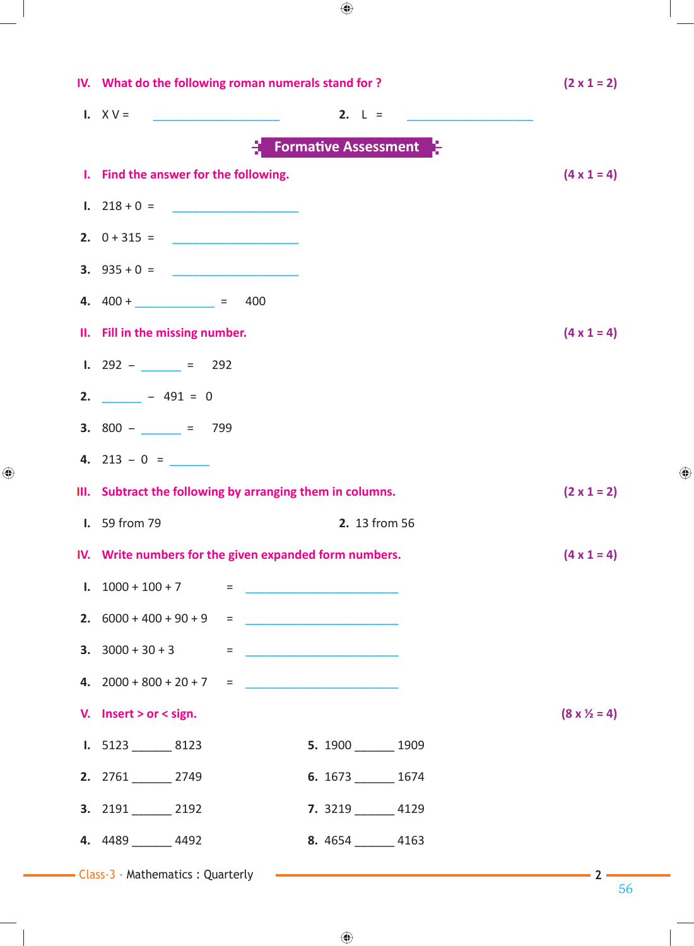|                                                  | IV. What do the following roman numerals stand for?       | $(2 \times 1 = 2)$                                                                      |                              |  |  |  |  |  |  |  |
|--------------------------------------------------|-----------------------------------------------------------|-----------------------------------------------------------------------------------------|------------------------------|--|--|--|--|--|--|--|
|                                                  | <b>I.</b> $XV =$                                          | 2. $L =$                                                                                |                              |  |  |  |  |  |  |  |
| $\frac{1}{2}$ Formative Assessment $\frac{1}{2}$ |                                                           |                                                                                         |                              |  |  |  |  |  |  |  |
|                                                  | I. Find the answer for the following.                     |                                                                                         | $(4 \times 1 = 4)$           |  |  |  |  |  |  |  |
|                                                  | 1. $218 + 0 =$                                            |                                                                                         |                              |  |  |  |  |  |  |  |
|                                                  |                                                           |                                                                                         |                              |  |  |  |  |  |  |  |
|                                                  | <b>3.</b> $935 + 0 =$                                     |                                                                                         |                              |  |  |  |  |  |  |  |
|                                                  | 4. $400 +$ $= 400$                                        |                                                                                         |                              |  |  |  |  |  |  |  |
|                                                  | II. Fill in the missing number.                           |                                                                                         | $(4 \times 1 = 4)$           |  |  |  |  |  |  |  |
|                                                  | <b>I.</b> 292 – $= 292$                                   |                                                                                         |                              |  |  |  |  |  |  |  |
|                                                  | 2. $-491 = 0$                                             |                                                                                         |                              |  |  |  |  |  |  |  |
|                                                  | <b>3.</b> $800 - 201 = 799$                               |                                                                                         |                              |  |  |  |  |  |  |  |
|                                                  | 4. $213 - 0 =$                                            |                                                                                         |                              |  |  |  |  |  |  |  |
|                                                  | III. Subtract the following by arranging them in columns. |                                                                                         | $(2 \times 1 = 2)$           |  |  |  |  |  |  |  |
|                                                  | <b>I.</b> 59 from 79                                      | 2. 13 from 56                                                                           |                              |  |  |  |  |  |  |  |
|                                                  | IV. Write numbers for the given expanded form numbers.    |                                                                                         | $(4 \times 1 = 4)$           |  |  |  |  |  |  |  |
|                                                  | 1. $1000 + 100 + 7$ =                                     |                                                                                         |                              |  |  |  |  |  |  |  |
|                                                  | 2. $6000 + 400 + 90 + 9$ =                                |                                                                                         |                              |  |  |  |  |  |  |  |
|                                                  | <b>3.</b> $3000 + 30 + 3$ =                               |                                                                                         |                              |  |  |  |  |  |  |  |
|                                                  | 4. $2000 + 800 + 20 + 7 =$                                |                                                                                         |                              |  |  |  |  |  |  |  |
|                                                  | V. Insert > or < sign.                                    |                                                                                         | $(8 \times \frac{1}{2} = 4)$ |  |  |  |  |  |  |  |
|                                                  | <b>I.</b> $5123$ _________ 8123                           |                                                                                         |                              |  |  |  |  |  |  |  |
|                                                  |                                                           | 5. 1900 1909                                                                            |                              |  |  |  |  |  |  |  |
|                                                  | 2. 2761 2749                                              | 6. $1673$ 1674                                                                          |                              |  |  |  |  |  |  |  |
|                                                  | 3. 2191 2192                                              | 7. 3219 4129                                                                            |                              |  |  |  |  |  |  |  |
|                                                  | 4. 4489 4492                                              | 8. $4654$ 4163                                                                          |                              |  |  |  |  |  |  |  |
|                                                  |                                                           | - Class-3 - Mathematics : Quarterly <b>Commission Class-3 - Mathematics : Quarterly</b> | $\sim$ 2 $-$                 |  |  |  |  |  |  |  |

 $\bigoplus$ 

 $\bigoplus$ 

56

 $\bigoplus$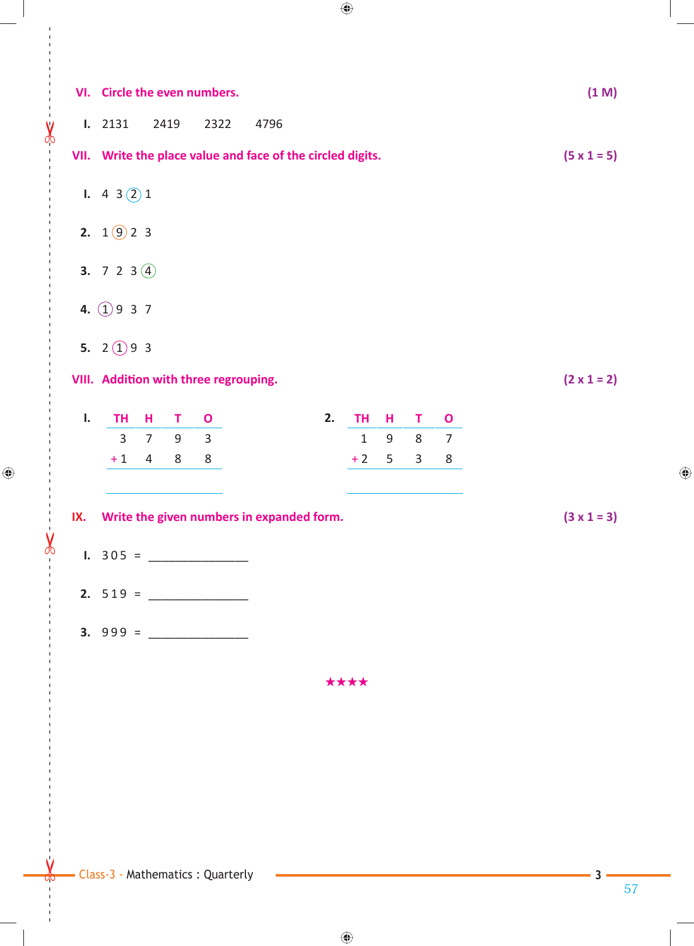|      |                                                            |                |      | VI. Circle the even numbers.          |      |                                           |              |   |              |                    |  |  |                    | (1 M) |
|------|------------------------------------------------------------|----------------|------|---------------------------------------|------|-------------------------------------------|--------------|---|--------------|--------------------|--|--|--------------------|-------|
|      | <b>I.</b> 2131                                             |                | 2419 | 2322                                  | 4796 |                                           |              |   |              |                    |  |  |                    |       |
|      | VII. Write the place value and face of the circled digits. |                |      |                                       |      |                                           |              |   |              | $(5 \times 1 = 5)$ |  |  |                    |       |
|      | 1. 4 3 $(2)$ 1                                             |                |      |                                       |      |                                           |              |   |              |                    |  |  |                    |       |
|      | 2. $1\circled{9}$ 2 3                                      |                |      |                                       |      |                                           |              |   |              |                    |  |  |                    |       |
|      | <b>3.</b> 7 2 3 $\overline{4}$                             |                |      |                                       |      |                                           |              |   |              |                    |  |  |                    |       |
|      | 4. $(1)937$                                                |                |      |                                       |      |                                           |              |   |              |                    |  |  |                    |       |
|      | 5. 2 $(1)$ 9 3                                             |                |      |                                       |      |                                           |              |   |              |                    |  |  |                    |       |
|      |                                                            |                |      | VIII. Addition with three regrouping. |      |                                           |              |   |              |                    |  |  | $(2 \times 1 = 2)$ |       |
| Ι.   | <b>TH</b>                                                  | н              | T    | $\mathbf{o}$                          |      | 2.                                        | <b>TH</b>    | н | Т            | $\mathbf{o}$       |  |  |                    |       |
|      | $\overline{3}$                                             | $\overline{7}$ | 9    | $\overline{3}$                        |      |                                           | $\mathbf{1}$ | 9 | 8            | $\overline{7}$     |  |  |                    |       |
|      | $+1$                                                       | 4              | 8    | 8                                     |      |                                           | $+2$         | 5 | $\mathbf{3}$ | 8                  |  |  |                    |       |
|      |                                                            |                |      |                                       |      |                                           |              |   |              |                    |  |  |                    |       |
| IX.  |                                                            |                |      |                                       |      | Write the given numbers in expanded form. |              |   |              |                    |  |  | $(3 \times 1 = 3)$ |       |
|      |                                                            |                |      | $1.305 =$                             |      |                                           |              |   |              |                    |  |  |                    |       |
|      |                                                            |                |      |                                       |      |                                           |              |   |              |                    |  |  |                    |       |
|      |                                                            |                |      |                                       |      |                                           |              |   |              |                    |  |  |                    |       |
|      |                                                            |                |      |                                       |      |                                           |              |   |              |                    |  |  |                    |       |
| **** |                                                            |                |      |                                       |      |                                           |              |   |              |                    |  |  |                    |       |

 $\leftarrow$ 

 $\frac{1}{2}$ 

 $\bigoplus$ 

 $\frac{1}{\sqrt{2}}$ 

57

 $\bigoplus$ 

**3**